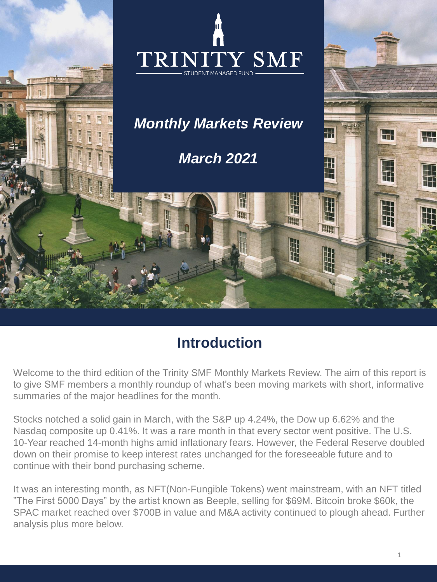

## **Introduction**

Welcome to the third edition of the Trinity SMF Monthly Markets Review. The aim of this report is to give SMF members a monthly roundup of what's been moving markets with short, informative summaries of the major headlines for the month.

Stocks notched a solid gain in March, with the S&P up 4.24%, the Dow up 6.62% and the Nasdaq composite up 0.41%. It was a rare month in that every sector went positive. The U.S. 10-Year reached 14-month highs amid inflationary fears. However, the Federal Reserve doubled down on their promise to keep interest rates unchanged for the foreseeable future and to continue with their bond purchasing scheme.

It was an interesting month, as NFT(Non-Fungible Tokens) went mainstream, with an NFT titled "The First 5000 Days" by the artist known as Beeple, selling for \$69M. Bitcoin broke \$60k, the SPAC market reached over \$700B in value and M&A activity continued to plough ahead. Further analysis plus more below.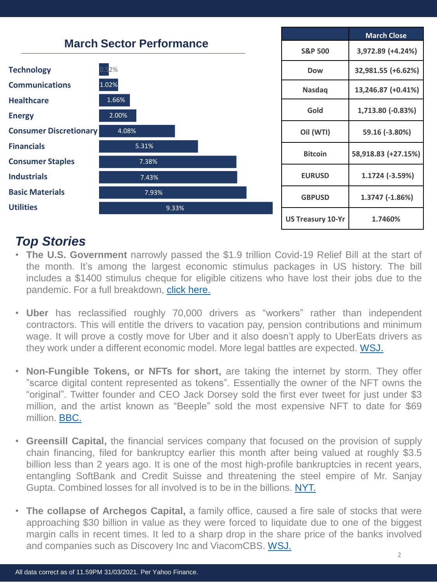

## *Top Stories*

- **The U.S. Government** narrowly passed the \$1.9 trillion Covid-19 Relief Bill at the start of the month. It's among the largest economic stimulus packages in US history. The bill includes a \$1400 stimulus cheque for eligible citizens who have lost their jobs due to the pandemic. For a full breakdown, click [here.](https://www.washingtonpost.com/business/2021/03/10/what-is-in-the-stimulus/)
- **Uber** has reclassified roughly 70,000 drivers as "workers" rather than independent contractors. This will entitle the drivers to vacation pay, pension contributions and minimum wage. It will prove a costly move for Uber and it also doesn't apply to UberEats drivers as they work under a different economic model. More legal battles are expected. [WSJ.](https://www.wsj.com/articles/uber-grants-vacation-pay-pensions-to-u-k-drivers-after-court-ruling-11615928413?mod=hp_lead_pos1&utm_source=newsletter&utm_medium=email&utm_campaign=the_luck_of_j_powell&utm_term=2021-04-03)
- **Non-Fungible Tokens, or NFTs for short,** are taking the internet by storm. They offer "scarce digital content represented as tokens". Essentially the owner of the NFT owns the "original". Twitter founder and CEO Jack Dorsey sold the first ever tweet for just under \$3 million, and the artist known as "Beeple" sold the most expensive NFT to date for \$69 million. [BBC.](https://www.bbc.com/news/technology-56371912)
- **Greensill Capital,** the financial services company that focused on the provision of supply chain financing, filed for bankruptcy earlier this month after being valued at roughly \$3.5 billion less than 2 years ago. It is one of the most high-profile bankruptcies in recent years, entangling SoftBank and Credit Suisse and threatening the steel empire of Mr. Sanjay Gupta. Combined losses for all involved is to be in the billions. [NYT.](https://www.nytimes.com/2021/03/28/business/greensill-capital-collapse.html)
- **The collapse of Archegos Capital,** a family office, caused a fire sale of stocks that were approaching \$30 billion in value as they were forced to liquidate due to one of the biggest margin calls in recent times. It led to a sharp drop in the share price of the banks involved and companies such as Discovery Inc and ViacomCBS. [WSJ.](https://www.wsj.com/articles/japans-nomura-says-u-s-client-owes-it-2-billion-shares-fall-15-11616992085?mod=hp_lead_pos1&utm_source=newsletter&utm_medium=email&utm_campaign=archegos_overlevered_on_the_sauce&utm_term=2021-04-03)